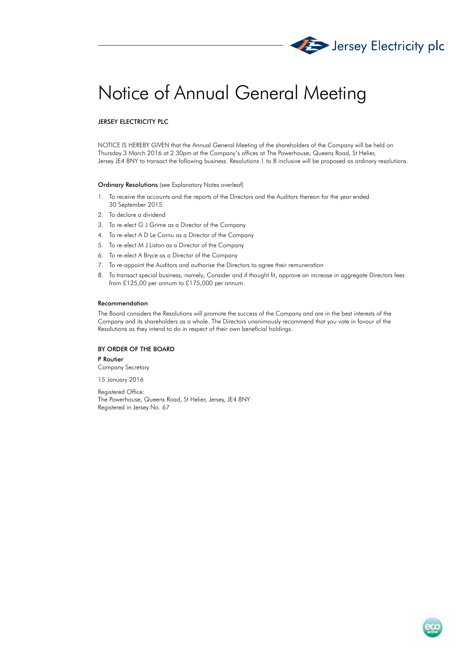

# Notice of Annual General Meeting

# JERSEY ELECTRICITY PLC

NOTICE IS HEREBY GIVEN that the Annual General Meeting of the shareholders of the Company will be held on Thursday 3 March 2016 at 2.30pm at the Company's offices at The Powerhouse, Queens Road, St Helier, Jersey JE4 8NY to transact the following business. Resolutions 1 to 8 inclusive will be proposed as ordinary resolutions.

#### Ordinary Resolutions (see Explanatory Notes overleaf)

- 1. To receive the accounts and the reports of the Directors and the Auditors thereon for the year ended 30 September 2015
- 2. To declare a dividend
- 3. To re-elect G J Grime as a Director of the Company
- 4. To re-elect A D Le Cornu as a Director of the Company
- 5. To re-elect M J Liston as a Director of the Company
- 6. To re-elect A Bryce as a Director of the Company
- 7. To re-appoint the Auditors and authorise the Directors to agree their remuneration
- 8. To transact special business, namely; Consider and if thought fit, approve an increase in aggregate Directors fees from £125,00 per annum to £175,000 per annum.

#### Recommendation

The Board considers the Resolutions will promote the success of the Company and are in the best interests of the Company and its shareholders as a whole. The Directors unanimously recommend that you vote in favour of the Resolutions as they intend to do in respect of their own beneficial holdings.

# BY ORDER OF THE BOARD

P Routier Company Secretary

15 January 2016

Registered Office: The Powerhouse, Queens Road, St Helier, Jersey, JE4 8NY Registered in Jersey No. 67